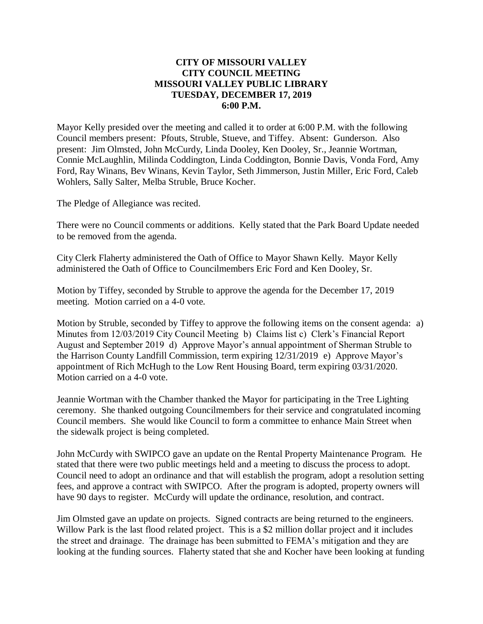#### **CITY OF MISSOURI VALLEY CITY COUNCIL MEETING MISSOURI VALLEY PUBLIC LIBRARY TUESDAY, DECEMBER 17, 2019 6:00 P.M.**

Mayor Kelly presided over the meeting and called it to order at 6:00 P.M. with the following Council members present: Pfouts, Struble, Stueve, and Tiffey. Absent: Gunderson. Also present: Jim Olmsted, John McCurdy, Linda Dooley, Ken Dooley, Sr., Jeannie Wortman, Connie McLaughlin, Milinda Coddington, Linda Coddington, Bonnie Davis, Vonda Ford, Amy Ford, Ray Winans, Bev Winans, Kevin Taylor, Seth Jimmerson, Justin Miller, Eric Ford, Caleb Wohlers, Sally Salter, Melba Struble, Bruce Kocher.

The Pledge of Allegiance was recited.

There were no Council comments or additions. Kelly stated that the Park Board Update needed to be removed from the agenda.

City Clerk Flaherty administered the Oath of Office to Mayor Shawn Kelly. Mayor Kelly administered the Oath of Office to Councilmembers Eric Ford and Ken Dooley, Sr.

Motion by Tiffey, seconded by Struble to approve the agenda for the December 17, 2019 meeting. Motion carried on a 4-0 vote.

Motion by Struble, seconded by Tiffey to approve the following items on the consent agenda: a) Minutes from 12/03/2019 City Council Meeting b) Claims list c) Clerk's Financial Report August and September 2019 d) Approve Mayor's annual appointment of Sherman Struble to the Harrison County Landfill Commission, term expiring 12/31/2019 e) Approve Mayor's appointment of Rich McHugh to the Low Rent Housing Board, term expiring 03/31/2020. Motion carried on a 4-0 vote.

Jeannie Wortman with the Chamber thanked the Mayor for participating in the Tree Lighting ceremony. She thanked outgoing Councilmembers for their service and congratulated incoming Council members. She would like Council to form a committee to enhance Main Street when the sidewalk project is being completed.

John McCurdy with SWIPCO gave an update on the Rental Property Maintenance Program. He stated that there were two public meetings held and a meeting to discuss the process to adopt. Council need to adopt an ordinance and that will establish the program, adopt a resolution setting fees, and approve a contract with SWIPCO. After the program is adopted, property owners will have 90 days to register. McCurdy will update the ordinance, resolution, and contract.

Jim Olmsted gave an update on projects. Signed contracts are being returned to the engineers. Willow Park is the last flood related project. This is a \$2 million dollar project and it includes the street and drainage. The drainage has been submitted to FEMA's mitigation and they are looking at the funding sources. Flaherty stated that she and Kocher have been looking at funding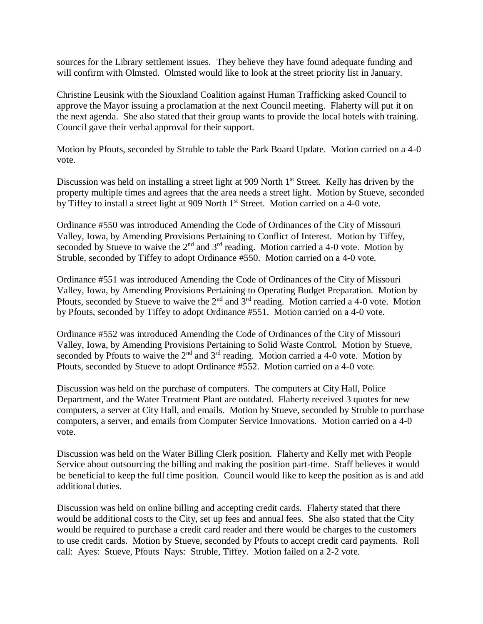sources for the Library settlement issues. They believe they have found adequate funding and will confirm with Olmsted. Olmsted would like to look at the street priority list in January.

Christine Leusink with the Siouxland Coalition against Human Trafficking asked Council to approve the Mayor issuing a proclamation at the next Council meeting. Flaherty will put it on the next agenda. She also stated that their group wants to provide the local hotels with training. Council gave their verbal approval for their support.

Motion by Pfouts, seconded by Struble to table the Park Board Update. Motion carried on a 4-0 vote.

Discussion was held on installing a street light at 909 North 1<sup>st</sup> Street. Kelly has driven by the property multiple times and agrees that the area needs a street light. Motion by Stueve, seconded by Tiffey to install a street light at 909 North 1<sup>st</sup> Street. Motion carried on a 4-0 vote.

Ordinance #550 was introduced Amending the Code of Ordinances of the City of Missouri Valley, Iowa, by Amending Provisions Pertaining to Conflict of Interest. Motion by Tiffey, seconded by Stueve to waive the  $2<sup>nd</sup>$  and  $3<sup>rd</sup>$  reading. Motion carried a 4-0 vote. Motion by Struble, seconded by Tiffey to adopt Ordinance #550. Motion carried on a 4-0 vote.

Ordinance #551 was introduced Amending the Code of Ordinances of the City of Missouri Valley, Iowa, by Amending Provisions Pertaining to Operating Budget Preparation. Motion by Pfouts, seconded by Stueve to waive the 2<sup>nd</sup> and 3<sup>rd</sup> reading. Motion carried a 4-0 vote. Motion by Pfouts, seconded by Tiffey to adopt Ordinance #551. Motion carried on a 4-0 vote.

Ordinance #552 was introduced Amending the Code of Ordinances of the City of Missouri Valley, Iowa, by Amending Provisions Pertaining to Solid Waste Control. Motion by Stueve, seconded by Pfouts to waive the  $2<sup>nd</sup>$  and  $3<sup>rd</sup>$  reading. Motion carried a 4-0 vote. Motion by Pfouts, seconded by Stueve to adopt Ordinance #552. Motion carried on a 4-0 vote.

Discussion was held on the purchase of computers. The computers at City Hall, Police Department, and the Water Treatment Plant are outdated. Flaherty received 3 quotes for new computers, a server at City Hall, and emails. Motion by Stueve, seconded by Struble to purchase computers, a server, and emails from Computer Service Innovations. Motion carried on a 4-0 vote.

Discussion was held on the Water Billing Clerk position. Flaherty and Kelly met with People Service about outsourcing the billing and making the position part-time. Staff believes it would be beneficial to keep the full time position. Council would like to keep the position as is and add additional duties.

Discussion was held on online billing and accepting credit cards. Flaherty stated that there would be additional costs to the City, set up fees and annual fees. She also stated that the City would be required to purchase a credit card reader and there would be charges to the customers to use credit cards. Motion by Stueve, seconded by Pfouts to accept credit card payments. Roll call: Ayes: Stueve, Pfouts Nays: Struble, Tiffey. Motion failed on a 2-2 vote.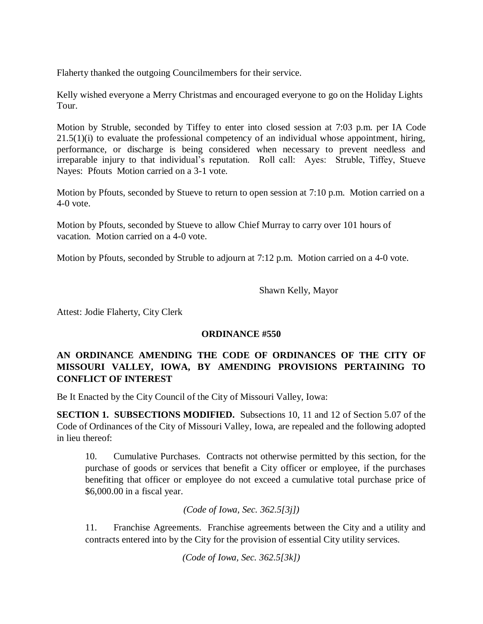Flaherty thanked the outgoing Councilmembers for their service.

Kelly wished everyone a Merry Christmas and encouraged everyone to go on the Holiday Lights Tour.

Motion by Struble, seconded by Tiffey to enter into closed session at 7:03 p.m. per IA Code  $21.5(1)(i)$  to evaluate the professional competency of an individual whose appointment, hiring, performance, or discharge is being considered when necessary to prevent needless and irreparable injury to that individual's reputation. Roll call: Ayes: Struble, Tiffey, Stueve Nayes: Pfouts Motion carried on a 3-1 vote.

Motion by Pfouts, seconded by Stueve to return to open session at 7:10 p.m. Motion carried on a 4-0 vote.

Motion by Pfouts, seconded by Stueve to allow Chief Murray to carry over 101 hours of vacation. Motion carried on a 4-0 vote.

Motion by Pfouts, seconded by Struble to adjourn at 7:12 p.m. Motion carried on a 4-0 vote.

Shawn Kelly, Mayor

Attest: Jodie Flaherty, City Clerk

## **ORDINANCE #550**

# **AN ORDINANCE AMENDING THE CODE OF ORDINANCES OF THE CITY OF MISSOURI VALLEY, IOWA, BY AMENDING PROVISIONS PERTAINING TO CONFLICT OF INTEREST**

Be It Enacted by the City Council of the City of Missouri Valley, Iowa:

**SECTION 1. SUBSECTIONS MODIFIED.** Subsections 10, 11 and 12 of Section 5.07 of the Code of Ordinances of the City of Missouri Valley, Iowa, are repealed and the following adopted in lieu thereof:

10. Cumulative Purchases. Contracts not otherwise permitted by this section, for the purchase of goods or services that benefit a City officer or employee, if the purchases benefiting that officer or employee do not exceed a cumulative total purchase price of \$6,000.00 in a fiscal year.

*(Code of Iowa, Sec. 362.5[3j])*

11. Franchise Agreements. Franchise agreements between the City and a utility and contracts entered into by the City for the provision of essential City utility services.

*(Code of Iowa, Sec. 362.5[3k])*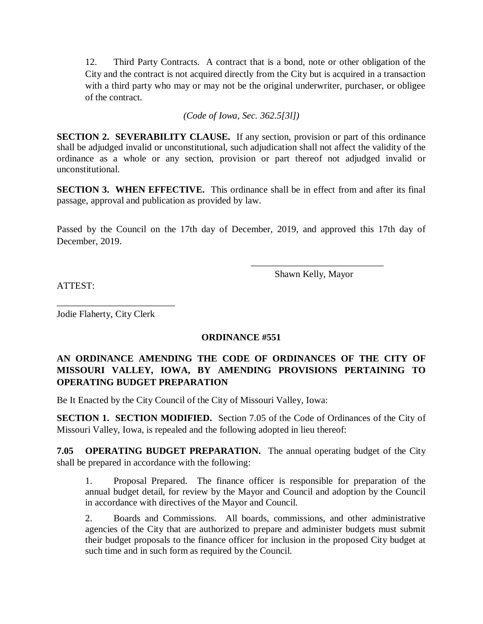12. Third Party Contracts. A contract that is a bond, note or other obligation of the City and the contract is not acquired directly from the City but is acquired in a transaction with a third party who may or may not be the original underwriter, purchaser, or obligee of the contract.

*(Code of Iowa, Sec. 362.5[3l])*

**SECTION 2. SEVERABILITY CLAUSE.** If any section, provision or part of this ordinance shall be adjudged invalid or unconstitutional, such adjudication shall not affect the validity of the ordinance as a whole or any section, provision or part thereof not adjudged invalid or unconstitutional.

**SECTION 3. WHEN EFFECTIVE.** This ordinance shall be in effect from and after its final passage, approval and publication as provided by law.

Passed by the Council on the 17th day of December, 2019, and approved this 17th day of December, 2019.

Shawn Kelly, Mayor

 $\frac{1}{2}$  ,  $\frac{1}{2}$  ,  $\frac{1}{2}$  ,  $\frac{1}{2}$  ,  $\frac{1}{2}$  ,  $\frac{1}{2}$  ,  $\frac{1}{2}$  ,  $\frac{1}{2}$  ,  $\frac{1}{2}$  ,  $\frac{1}{2}$  ,  $\frac{1}{2}$  ,  $\frac{1}{2}$  ,  $\frac{1}{2}$  ,  $\frac{1}{2}$  ,  $\frac{1}{2}$  ,  $\frac{1}{2}$  ,  $\frac{1}{2}$  ,  $\frac{1}{2}$  ,  $\frac{1$ 

ATTEST:

Jodie Flaherty, City Clerk

\_\_\_\_\_\_\_\_\_\_\_\_\_\_\_\_\_\_\_\_\_\_\_\_\_

## **ORDINANCE #551**

# **AN ORDINANCE AMENDING THE CODE OF ORDINANCES OF THE CITY OF MISSOURI VALLEY, IOWA, BY AMENDING PROVISIONS PERTAINING TO OPERATING BUDGET PREPARATION**

Be It Enacted by the City Council of the City of Missouri Valley, Iowa:

**SECTION 1. SECTION MODIFIED.** Section 7.05 of the Code of Ordinances of the City of Missouri Valley, Iowa, is repealed and the following adopted in lieu thereof:

**7.05 OPERATING BUDGET PREPARATION.** The annual operating budget of the City shall be prepared in accordance with the following:

1. Proposal Prepared. The finance officer is responsible for preparation of the annual budget detail, for review by the Mayor and Council and adoption by the Council in accordance with directives of the Mayor and Council.

2. Boards and Commissions. All boards, commissions, and other administrative agencies of the City that are authorized to prepare and administer budgets must submit their budget proposals to the finance officer for inclusion in the proposed City budget at such time and in such form as required by the Council.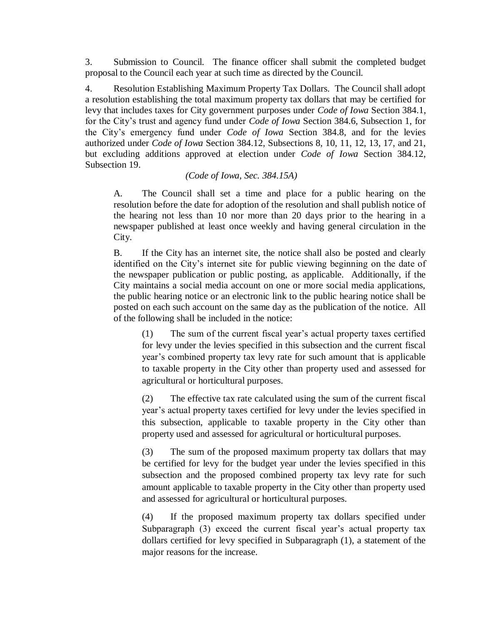3. Submission to Council. The finance officer shall submit the completed budget proposal to the Council each year at such time as directed by the Council.

4. Resolution Establishing Maximum Property Tax Dollars. The Council shall adopt a resolution establishing the total maximum property tax dollars that may be certified for levy that includes taxes for City government purposes under *Code of Iowa* Section 384.1, for the City's trust and agency fund under *Code of Iowa* Section 384.6, Subsection 1, for the City's emergency fund under *Code of Iowa* Section 384.8, and for the levies authorized under *Code of Iowa* Section 384.12, Subsections 8, 10, 11, 12, 13, 17, and 21, but excluding additions approved at election under *Code of Iowa* Section 384.12, Subsection 19.

*(Code of Iowa, Sec. 384.15A)*

A. The Council shall set a time and place for a public hearing on the resolution before the date for adoption of the resolution and shall publish notice of the hearing not less than 10 nor more than 20 days prior to the hearing in a newspaper published at least once weekly and having general circulation in the City.

B. If the City has an internet site, the notice shall also be posted and clearly identified on the City's internet site for public viewing beginning on the date of the newspaper publication or public posting, as applicable. Additionally, if the City maintains a social media account on one or more social media applications, the public hearing notice or an electronic link to the public hearing notice shall be posted on each such account on the same day as the publication of the notice. All of the following shall be included in the notice:

(1) The sum of the current fiscal year's actual property taxes certified for levy under the levies specified in this subsection and the current fiscal year's combined property tax levy rate for such amount that is applicable to taxable property in the City other than property used and assessed for agricultural or horticultural purposes.

(2) The effective tax rate calculated using the sum of the current fiscal year's actual property taxes certified for levy under the levies specified in this subsection, applicable to taxable property in the City other than property used and assessed for agricultural or horticultural purposes.

(3) The sum of the proposed maximum property tax dollars that may be certified for levy for the budget year under the levies specified in this subsection and the proposed combined property tax levy rate for such amount applicable to taxable property in the City other than property used and assessed for agricultural or horticultural purposes.

(4) If the proposed maximum property tax dollars specified under Subparagraph (3) exceed the current fiscal year's actual property tax dollars certified for levy specified in Subparagraph (1), a statement of the major reasons for the increase.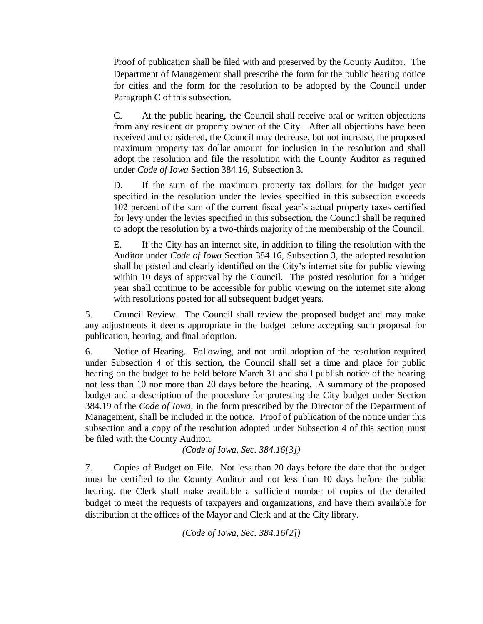Proof of publication shall be filed with and preserved by the County Auditor. The Department of Management shall prescribe the form for the public hearing notice for cities and the form for the resolution to be adopted by the Council under Paragraph C of this subsection.

C. At the public hearing, the Council shall receive oral or written objections from any resident or property owner of the City. After all objections have been received and considered, the Council may decrease, but not increase, the proposed maximum property tax dollar amount for inclusion in the resolution and shall adopt the resolution and file the resolution with the County Auditor as required under *Code of Iowa* Section 384.16, Subsection 3.

D. If the sum of the maximum property tax dollars for the budget year specified in the resolution under the levies specified in this subsection exceeds 102 percent of the sum of the current fiscal year's actual property taxes certified for levy under the levies specified in this subsection, the Council shall be required to adopt the resolution by a two-thirds majority of the membership of the Council.

E. If the City has an internet site, in addition to filing the resolution with the Auditor under *Code of Iowa* Section 384.16, Subsection 3, the adopted resolution shall be posted and clearly identified on the City's internet site for public viewing within 10 days of approval by the Council. The posted resolution for a budget year shall continue to be accessible for public viewing on the internet site along with resolutions posted for all subsequent budget years.

5. Council Review. The Council shall review the proposed budget and may make any adjustments it deems appropriate in the budget before accepting such proposal for publication, hearing, and final adoption.

6. Notice of Hearing. Following, and not until adoption of the resolution required under Subsection 4 of this section, the Council shall set a time and place for public hearing on the budget to be held before March 31 and shall publish notice of the hearing not less than 10 nor more than 20 days before the hearing. A summary of the proposed budget and a description of the procedure for protesting the City budget under Section 384.19 of the *Code of Iowa*, in the form prescribed by the Director of the Department of Management, shall be included in the notice. Proof of publication of the notice under this subsection and a copy of the resolution adopted under Subsection 4 of this section must be filed with the County Auditor.

*(Code of Iowa, Sec. 384.16[3])* 

7. Copies of Budget on File. Not less than 20 days before the date that the budget must be certified to the County Auditor and not less than 10 days before the public hearing, the Clerk shall make available a sufficient number of copies of the detailed budget to meet the requests of taxpayers and organizations, and have them available for distribution at the offices of the Mayor and Clerk and at the City library.

*(Code of Iowa, Sec. 384.16[2])*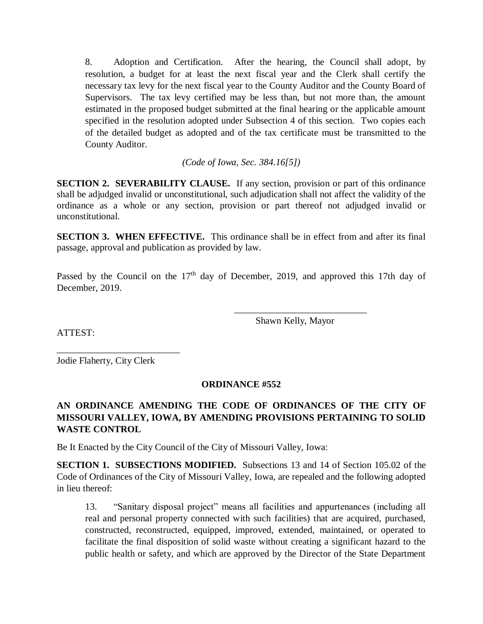8. Adoption and Certification. After the hearing, the Council shall adopt, by resolution, a budget for at least the next fiscal year and the Clerk shall certify the necessary tax levy for the next fiscal year to the County Auditor and the County Board of Supervisors. The tax levy certified may be less than, but not more than, the amount estimated in the proposed budget submitted at the final hearing or the applicable amount specified in the resolution adopted under Subsection 4 of this section. Two copies each of the detailed budget as adopted and of the tax certificate must be transmitted to the County Auditor.

*(Code of Iowa, Sec. 384.16[5])*

**SECTION 2. SEVERABILITY CLAUSE.** If any section, provision or part of this ordinance shall be adjudged invalid or unconstitutional, such adjudication shall not affect the validity of the ordinance as a whole or any section, provision or part thereof not adjudged invalid or unconstitutional.

**SECTION 3. WHEN EFFECTIVE.** This ordinance shall be in effect from and after its final passage, approval and publication as provided by law.

Passed by the Council on the  $17<sup>th</sup>$  day of December, 2019, and approved this 17th day of December, 2019.

Shawn Kelly, Mayor

 $\frac{1}{\sqrt{2}}$  ,  $\frac{1}{\sqrt{2}}$  ,  $\frac{1}{\sqrt{2}}$  ,  $\frac{1}{\sqrt{2}}$  ,  $\frac{1}{\sqrt{2}}$  ,  $\frac{1}{\sqrt{2}}$  ,  $\frac{1}{\sqrt{2}}$  ,  $\frac{1}{\sqrt{2}}$  ,  $\frac{1}{\sqrt{2}}$  ,  $\frac{1}{\sqrt{2}}$  ,  $\frac{1}{\sqrt{2}}$  ,  $\frac{1}{\sqrt{2}}$  ,  $\frac{1}{\sqrt{2}}$  ,  $\frac{1}{\sqrt{2}}$  ,  $\frac{1}{\sqrt{2}}$ 

ATTEST:

Jodie Flaherty, City Clerk

\_\_\_\_\_\_\_\_\_\_\_\_\_\_\_\_\_\_\_\_\_\_\_\_\_\_

## **ORDINANCE #552**

# **AN ORDINANCE AMENDING THE CODE OF ORDINANCES OF THE CITY OF MISSOURI VALLEY, IOWA, BY AMENDING PROVISIONS PERTAINING TO SOLID WASTE CONTROL**

Be It Enacted by the City Council of the City of Missouri Valley, Iowa:

**SECTION 1. SUBSECTIONS MODIFIED.** Subsections 13 and 14 of Section 105.02 of the Code of Ordinances of the City of Missouri Valley, Iowa, are repealed and the following adopted in lieu thereof:

13. "Sanitary disposal project" means all facilities and appurtenances (including all real and personal property connected with such facilities) that are acquired, purchased, constructed, reconstructed, equipped, improved, extended, maintained, or operated to facilitate the final disposition of solid waste without creating a significant hazard to the public health or safety, and which are approved by the Director of the State Department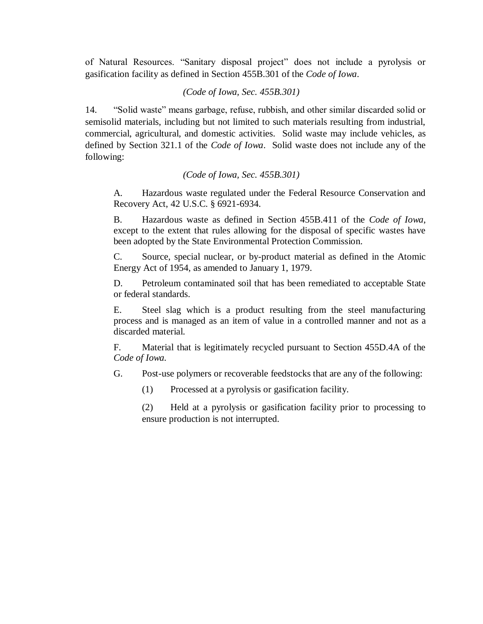of Natural Resources. "Sanitary disposal project" does not include a pyrolysis or gasification facility as defined in Section 455B.301 of the *Code of Iowa*.

#### *(Code of Iowa, Sec. 455B.301)*

14. "Solid waste" means garbage, refuse, rubbish, and other similar discarded solid or semisolid materials, including but not limited to such materials resulting from industrial, commercial, agricultural, and domestic activities. Solid waste may include vehicles, as defined by Section 321.1 of the *Code of Iowa*. Solid waste does not include any of the following:

#### *(Code of Iowa, Sec. 455B.301)*

A. Hazardous waste regulated under the Federal Resource Conservation and Recovery Act, 42 U.S.C. § 6921-6934.

B. Hazardous waste as defined in Section 455B.411 of the *Code of Iowa*, except to the extent that rules allowing for the disposal of specific wastes have been adopted by the State Environmental Protection Commission.

C. Source, special nuclear, or by-product material as defined in the Atomic Energy Act of 1954, as amended to January 1, 1979.

D. Petroleum contaminated soil that has been remediated to acceptable State or federal standards.

E. Steel slag which is a product resulting from the steel manufacturing process and is managed as an item of value in a controlled manner and not as a discarded material.

F. Material that is legitimately recycled pursuant to Section 455D.4A of the *Code of Iowa.*

G. Post-use polymers or recoverable feedstocks that are any of the following:

(1) Processed at a pyrolysis or gasification facility.

(2) Held at a pyrolysis or gasification facility prior to processing to ensure production is not interrupted.